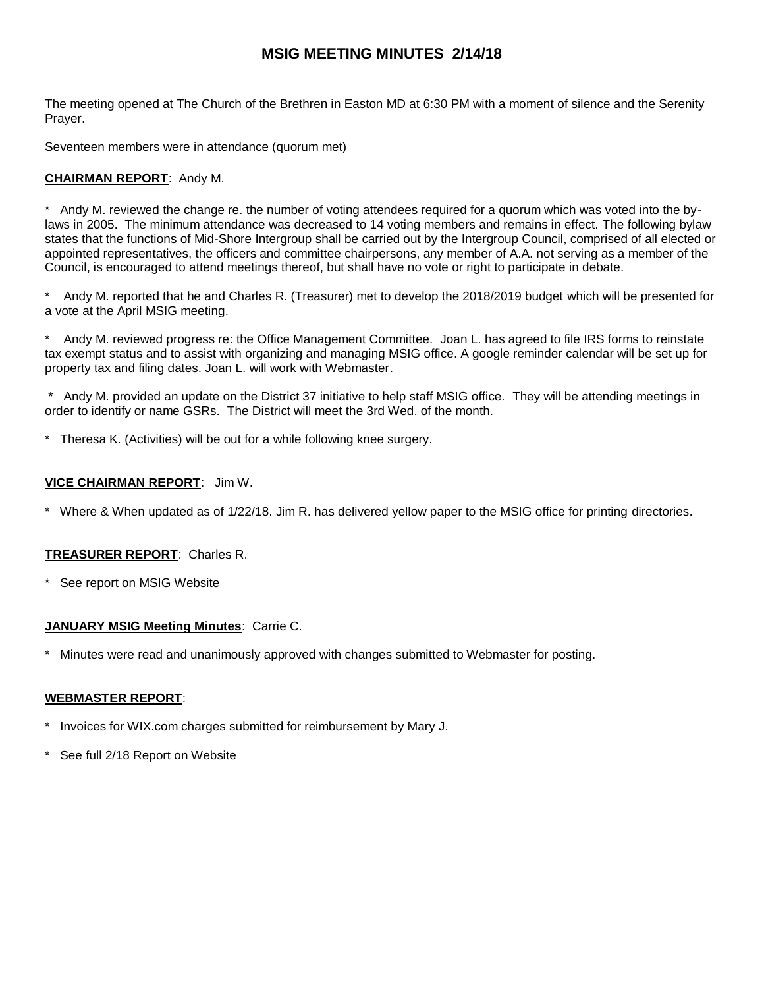# **MSIG MEETING MINUTES 2/14/18**

The meeting opened at The Church of the Brethren in Easton MD at 6:30 PM with a moment of silence and the Serenity Prayer.

Seventeen members were in attendance (quorum met)

# **CHAIRMAN REPORT**: Andy M.

\* Andy M. reviewed the change re. the number of voting attendees required for a quorum which was voted into the bylaws in 2005. The minimum attendance was decreased to 14 voting members and remains in effect. The following bylaw states that the functions of Mid-Shore Intergroup shall be carried out by the Intergroup Council, comprised of all elected or appointed representatives, the officers and committee chairpersons, any member of A.A. not serving as a member of the Council, is encouraged to attend meetings thereof, but shall have no vote or right to participate in debate.

Andy M. reported that he and Charles R. (Treasurer) met to develop the 2018/2019 budget which will be presented for a vote at the April MSIG meeting.

Andy M. reviewed progress re: the Office Management Committee. Joan L. has agreed to file IRS forms to reinstate tax exempt status and to assist with organizing and managing MSIG office. A google reminder calendar will be set up for property tax and filing dates. Joan L. will work with Webmaster.

Andy M. provided an update on the District 37 initiative to help staff MSIG office. They will be attending meetings in order to identify or name GSRs. The District will meet the 3rd Wed. of the month.

Theresa K. (Activities) will be out for a while following knee surgery.

### **VICE CHAIRMAN REPORT**: Jim W.

Where & When updated as of 1/22/18. Jim R. has delivered yellow paper to the MSIG office for printing directories.

#### **TREASURER REPORT**: Charles R.

See report on MSIG Website

#### **JANUARY MSIG Meeting Minutes**: Carrie C.

Minutes were read and unanimously approved with changes submitted to Webmaster for posting.

#### **WEBMASTER REPORT**:

- Invoices for WIX.com charges submitted for reimbursement by Mary J.
- See full 2/18 Report on Website